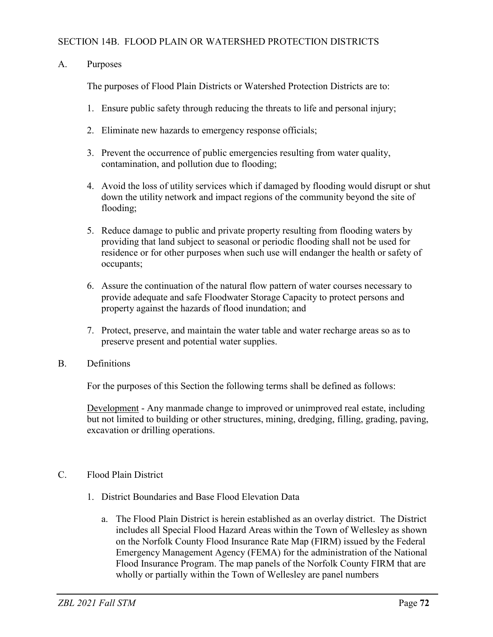## SECTION 14B. FLOOD PLAIN OR WATERSHED PROTECTION DISTRICTS

## A. Purposes

The purposes of Flood Plain Districts or Watershed Protection Districts are to:

- 1. Ensure public safety through reducing the threats to life and personal injury;
- 2. Eliminate new hazards to emergency response officials;
- 3. Prevent the occurrence of public emergencies resulting from water quality, contamination, and pollution due to flooding;
- 4. Avoid the loss of utility services which if damaged by flooding would disrupt or shut down the utility network and impact regions of the community beyond the site of flooding;
- 5. Reduce damage to public and private property resulting from flooding waters by providing that land subject to seasonal or periodic flooding shall not be used for residence or for other purposes when such use will endanger the health or safety of occupants;
- 6. Assure the continuation of the natural flow pattern of water courses necessary to provide adequate and safe Floodwater Storage Capacity to protect persons and property against the hazards of flood inundation; and
- 7. Protect, preserve, and maintain the water table and water recharge areas so as to preserve present and potential water supplies.
- B. Definitions

For the purposes of this Section the following terms shall be defined as follows:

Development - Any manmade change to improved or unimproved real estate, including but not limited to building or other structures, mining, dredging, filling, grading, paving, excavation or drilling operations.

- C. Flood Plain District
	- 1. District Boundaries and Base Flood Elevation Data
		- a. The Flood Plain District is herein established as an overlay district. The District includes all Special Flood Hazard Areas within the Town of Wellesley as shown on the Norfolk County Flood Insurance Rate Map (FIRM) issued by the Federal Emergency Management Agency (FEMA) for the administration of the National Flood Insurance Program. The map panels of the Norfolk County FIRM that are wholly or partially within the Town of Wellesley are panel numbers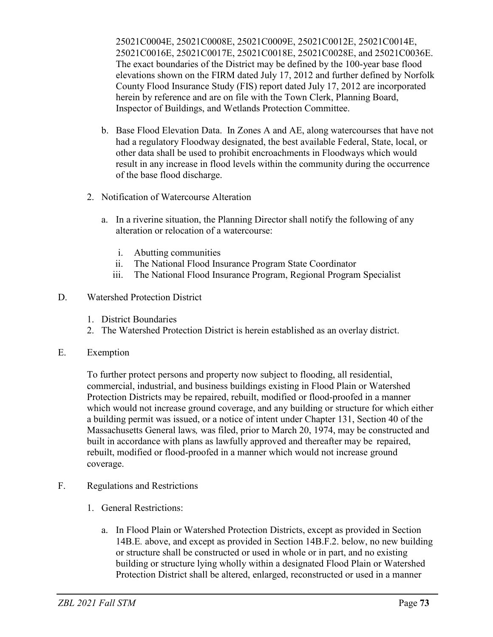25021C0004E, 25021C0008E, 25021C0009E, 25021C0012E, 25021C0014E, 25021C0016E, 25021C0017E, 25021C0018E, 25021C0028E, and 25021C0036E. The exact boundaries of the District may be defined by the 100-year base flood elevations shown on the FIRM dated July 17, 2012 and further defined by Norfolk County Flood Insurance Study (FIS) report dated July 17, 2012 are incorporated herein by reference and are on file with the Town Clerk, Planning Board, Inspector of Buildings, and Wetlands Protection Committee.

- b. Base Flood Elevation Data. In Zones A and AE, along watercourses that have not had a regulatory Floodway designated, the best available Federal, State, local, or other data shall be used to prohibit encroachments in Floodways which would result in any increase in flood levels within the community during the occurrence of the base flood discharge.
- 2. Notification of Watercourse Alteration
	- a. In a riverine situation, the Planning Director shall notify the following of any alteration or relocation of a watercourse:
		- i. Abutting communities
		- ii. The National Flood Insurance Program State Coordinator
		- iii. The National Flood Insurance Program, Regional Program Specialist
- D. Watershed Protection District
	- 1. District Boundaries
	- 2. The Watershed Protection District is herein established as an overlay district.
- E. Exemption

To further protect persons and property now subject to flooding, all residential, commercial, industrial, and business buildings existing in Flood Plain or Watershed Protection Districts may be repaired, rebuilt, modified or flood-proofed in a manner which would not increase ground coverage, and any building or structure for which either a building permit was issued, or a notice of intent under Chapter 131, Section 40 of the Massachusetts General laws*,* was filed, prior to March 20, 1974, may be constructed and built in accordance with plans as lawfully approved and thereafter may be repaired, rebuilt, modified or flood-proofed in a manner which would not increase ground coverage.

- F. Regulations and Restrictions
	- 1. General Restrictions:
		- a. In Flood Plain or Watershed Protection Districts, except as provided in Section 14B.E*.* above, and except as provided in Section 14B.F.2. below, no new building or structure shall be constructed or used in whole or in part, and no existing building or structure lying wholly within a designated Flood Plain or Watershed Protection District shall be altered, enlarged, reconstructed or used in a manner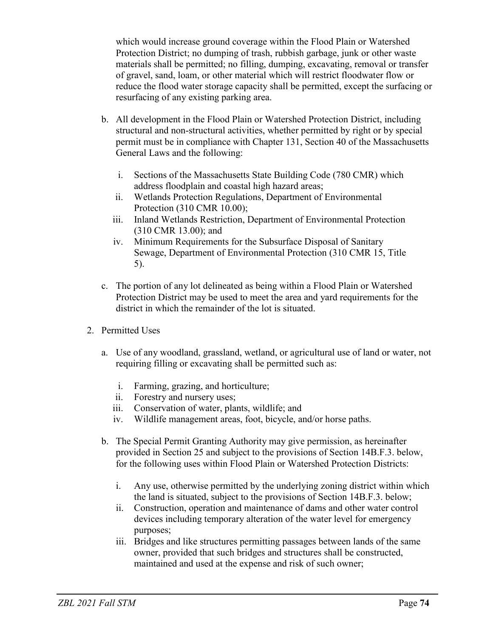which would increase ground coverage within the Flood Plain or Watershed Protection District; no dumping of trash, rubbish garbage, junk or other waste materials shall be permitted; no filling, dumping, excavating, removal or transfer of gravel, sand, loam, or other material which will restrict floodwater flow or reduce the flood water storage capacity shall be permitted, except the surfacing or resurfacing of any existing parking area.

- b. All development in the Flood Plain or Watershed Protection District, including structural and non-structural activities, whether permitted by right or by special permit must be in compliance with Chapter 131, Section 40 of the Massachusetts General Laws and the following:
	- i. Sections of the Massachusetts State Building Code (780 CMR) which address floodplain and coastal high hazard areas;
	- ii. Wetlands Protection Regulations, Department of Environmental Protection (310 CMR 10.00);
	- iii. Inland Wetlands Restriction, Department of Environmental Protection (310 CMR 13.00); and
	- iv. Minimum Requirements for the Subsurface Disposal of Sanitary Sewage, Department of Environmental Protection (310 CMR 15, Title 5).
- c. The portion of any lot delineated as being within a Flood Plain or Watershed Protection District may be used to meet the area and yard requirements for the district in which the remainder of the lot is situated.
- 2. Permitted Uses
	- a. Use of any woodland, grassland, wetland, or agricultural use of land or water, not requiring filling or excavating shall be permitted such as:
		- i. Farming, grazing, and horticulture;
		- ii. Forestry and nursery uses;
		- iii. Conservation of water, plants, wildlife; and
		- iv. Wildlife management areas, foot, bicycle, and/or horse paths.
	- b. The Special Permit Granting Authority may give permission, as hereinafter provided in Section 25 and subject to the provisions of Section 14B.F.3. below, for the following uses within Flood Plain or Watershed Protection Districts:
		- i. Any use, otherwise permitted by the underlying zoning district within which the land is situated, subject to the provisions of Section 14B.F.3. below;
		- ii. Construction, operation and maintenance of dams and other water control devices including temporary alteration of the water level for emergency purposes;
		- iii. Bridges and like structures permitting passages between lands of the same owner, provided that such bridges and structures shall be constructed, maintained and used at the expense and risk of such owner;